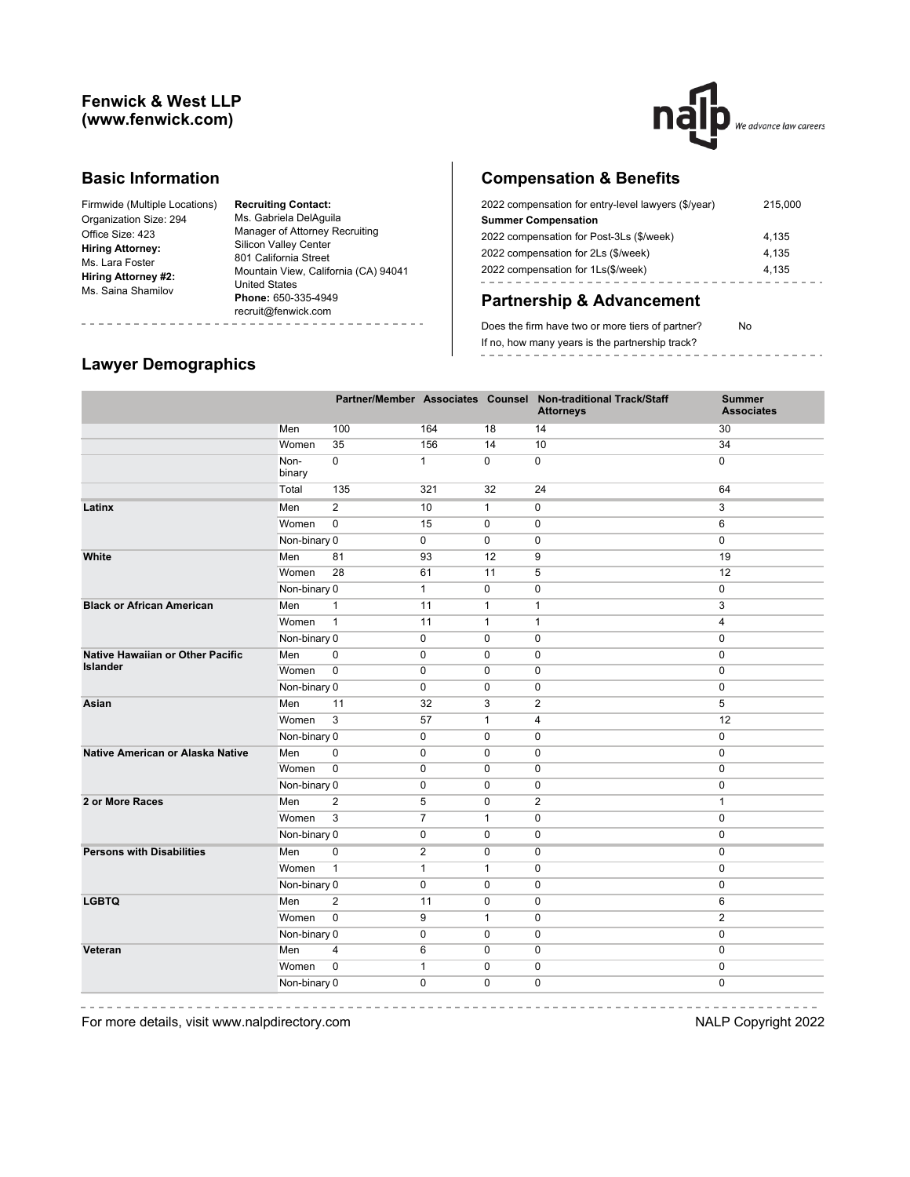## **Fenwick & West LLP (www.fenwick.com)**



### **Basic Information**

| Firmwide (Multiple Locations) |
|-------------------------------|
| Organization Size: 294        |
| Office Size: 423              |
| <b>Hiring Attorney:</b>       |
| Ms. Lara Foster               |
| Hiring Attorney #2:           |
| Ms. Saina Shamilov            |
|                               |

**Recruiting Contact:** Ms. Gabriela DelAguila Manager of Attorney Recruiting Silicon Valley Center 801 California Street Mountain View, California (CA) 94041 United States **Phone:** 650-335-4949 recruit@fenwick.com

# **Compensation & Benefits**

| 2022 compensation for entry-level lawyers (\$/year) | 215,000 |
|-----------------------------------------------------|---------|
| <b>Summer Compensation</b>                          |         |
| 2022 compensation for Post-3Ls (\$/week)            | 4.135   |
| 2022 compensation for 2Ls (\$/week)                 | 4.135   |
| 2022 compensation for 1Ls(\$/week)                  | 4.135   |
|                                                     |         |

# **Partnership & Advancement**

Does the firm have two or more tiers of partner? No If no, how many years is the partnership track?

# **Lawyer Demographics**

|                                         |                |                |                |              | Partner/Member Associates Counsel Non-traditional Track/Staff<br><b>Attorneys</b> | <b>Summer</b><br><b>Associates</b> |
|-----------------------------------------|----------------|----------------|----------------|--------------|-----------------------------------------------------------------------------------|------------------------------------|
|                                         | Men            | 100            | 164            | 18           | 14                                                                                | 30                                 |
|                                         | Women          | 35             | 156            | 14           | 10                                                                                | 34                                 |
|                                         | Non-<br>binary | $\mathbf 0$    | $\mathbf{1}$   | $\mathbf 0$  | 0                                                                                 | $\mathbf 0$                        |
|                                         | Total          | 135            | 321            | 32           | 24                                                                                | 64                                 |
| Latinx                                  | Men            | $\overline{2}$ | 10             | $\mathbf{1}$ | 0                                                                                 | 3                                  |
|                                         | Women          | $\overline{0}$ | 15             | $\pmb{0}$    | $\pmb{0}$                                                                         | 6                                  |
|                                         | Non-binary 0   |                | 0              | 0            | 0                                                                                 | 0                                  |
| White                                   | Men            | 81             | 93             | 12           | 9                                                                                 | 19                                 |
|                                         | Women          | 28             | 61             | 11           | 5                                                                                 | 12                                 |
|                                         | Non-binary 0   |                | $\mathbf{1}$   | 0            | 0                                                                                 | $\pmb{0}$                          |
| <b>Black or African American</b>        | Men            | $\mathbf{1}$   | 11             | $\mathbf{1}$ | 1                                                                                 | 3                                  |
|                                         | Women          | $\mathbf{1}$   | 11             | $\mathbf{1}$ | $\mathbf{1}$                                                                      | 4                                  |
|                                         | Non-binary 0   |                | 0              | $\mathbf 0$  | 0                                                                                 | $\mathbf 0$                        |
| <b>Native Hawaiian or Other Pacific</b> | Men            | $\mathbf 0$    | 0              | $\mathbf 0$  | 0                                                                                 | $\mathbf 0$                        |
| <b>Islander</b>                         | Women          | $\mathbf 0$    | 0              | 0            | 0                                                                                 | 0                                  |
|                                         | Non-binary 0   |                | 0              | 0            | 0                                                                                 | $\pmb{0}$                          |
| Asian                                   | Men            | 11             | 32             | 3            | $\overline{2}$                                                                    | 5                                  |
|                                         | Women          | 3              | 57             | $\mathbf{1}$ | 4                                                                                 | 12                                 |
|                                         | Non-binary 0   |                | 0              | $\mathbf 0$  | 0                                                                                 | $\mathbf 0$                        |
| <b>Native American or Alaska Native</b> | Men            | $\mathbf 0$    | 0              | 0            | 0                                                                                 | $\pmb{0}$                          |
|                                         | Women          | $\mathbf 0$    | 0              | 0            | 0                                                                                 | 0                                  |
|                                         | Non-binary 0   |                | 0              | 0            | 0                                                                                 | $\pmb{0}$                          |
| 2 or More Races                         | Men            | $\overline{2}$ | 5              | $\mathbf 0$  | $\overline{2}$                                                                    | $\mathbf{1}$                       |
|                                         | Women          | 3              | $\overline{7}$ | $\mathbf{1}$ | $\mathbf 0$                                                                       | $\mathbf 0$                        |
|                                         | Non-binary 0   |                | 0              | $\mathbf 0$  | $\mathbf 0$                                                                       | $\mathbf 0$                        |
| <b>Persons with Disabilities</b>        | Men            | $\mathbf 0$    | 2              | 0            | 0                                                                                 | $\mathbf 0$                        |
|                                         | Women          | $\mathbf{1}$   | $\mathbf{1}$   | $\mathbf{1}$ | 0                                                                                 | $\mathbf 0$                        |
|                                         | Non-binary 0   |                | 0              | $\mathbf 0$  | 0                                                                                 | $\mathbf 0$                        |
| <b>LGBTQ</b>                            | Men            | $\overline{2}$ | 11             | $\mathbf 0$  | 0                                                                                 | 6                                  |
|                                         | Women          | $\mathbf 0$    | 9              | $\mathbf{1}$ | 0                                                                                 | $\overline{2}$                     |
|                                         | Non-binary 0   |                | 0              | 0            | $\mathbf 0$                                                                       | $\mathbf 0$                        |
| Veteran                                 | Men            | 4              | 6              | 0            | 0                                                                                 | 0                                  |
|                                         | Women          | $\mathbf 0$    | $\mathbf{1}$   | $\mathbf 0$  | 0                                                                                 | 0                                  |
|                                         | Non-binary 0   |                | $\mathbf 0$    | $\mathbf 0$  | 0                                                                                 | 0                                  |

<u>-------------------</u> For more details, visit www.nalpdirectory.com **NALP** Copyright 2022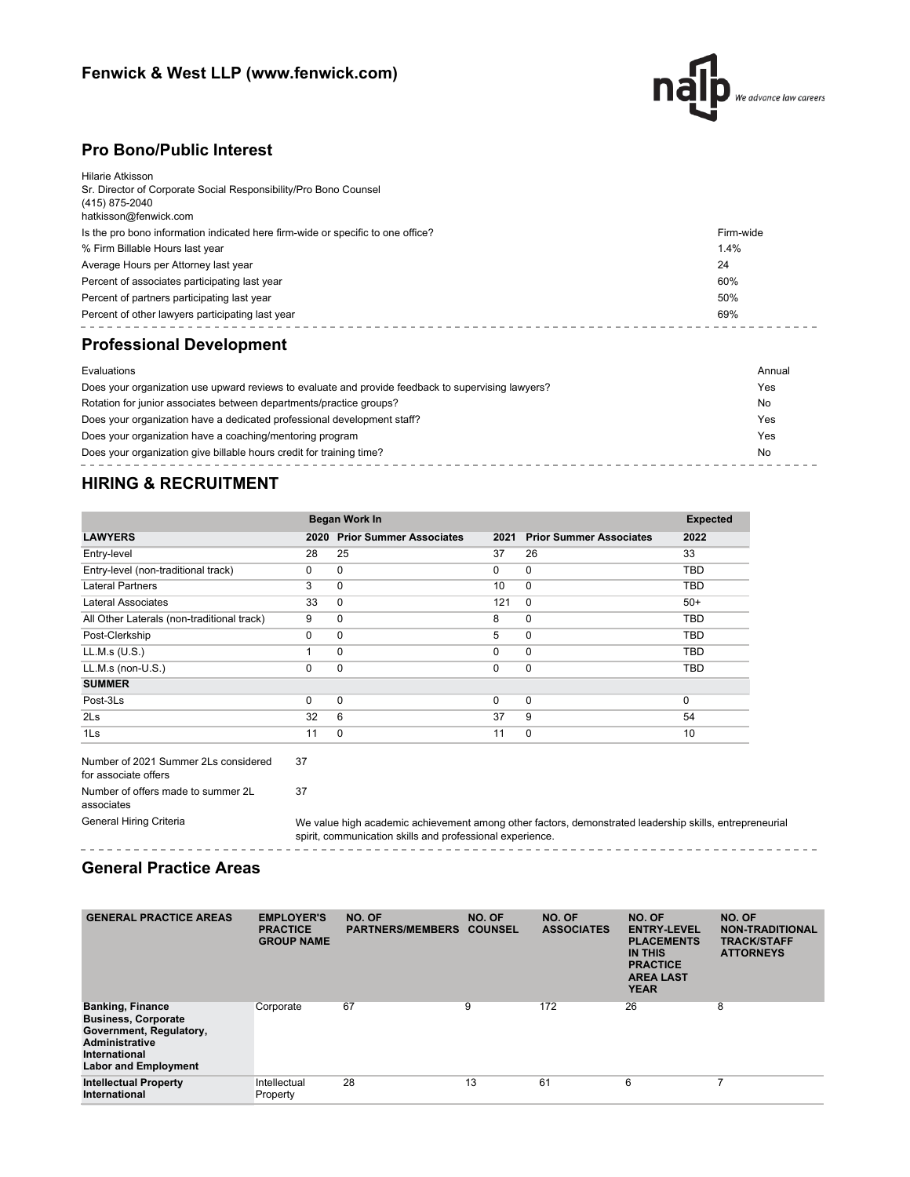# **Fenwick & West LLP (www.fenwick.com)**



## **Pro Bono/Public Interest**

| Hilarie Atkisson<br>Sr. Director of Corporate Social Responsibility/Pro Bono Counsel<br>(415) 875-2040 |                |
|--------------------------------------------------------------------------------------------------------|----------------|
| hatkisson@fenwick.com                                                                                  |                |
| Is the pro bono information indicated here firm-wide or specific to one office?                        | Firm-wide      |
| % Firm Billable Hours last year                                                                        | 1.4%           |
| Average Hours per Attorney last year                                                                   | 24             |
| Percent of associates participating last year                                                          | 60%            |
| Percent of partners participating last year                                                            | 50%            |
| Percent of other lawyers participating last year                                                       | 69%            |
| <b>Professional Development</b>                                                                        |                |
| Evaluations                                                                                            | Annual         |
| Does your organization use upward reviews to evaluate and provide feedback to supervising lawyers?     | Yes            |
| Rotation for junior associates between departments/practice groups?                                    | N <sub>0</sub> |

| Rotation for junior associates between departments/practice groups?     | No  |
|-------------------------------------------------------------------------|-----|
| Does your organization have a dedicated professional development staff? | Yes |
| Does your organization have a coaching/mentoring program                | Yes |
| Does your organization give billable hours credit for training time?    | No  |

## **HIRING & RECRUITMENT**

|                                            |          | Began Work In                  |          |                                |            |  |  |  |
|--------------------------------------------|----------|--------------------------------|----------|--------------------------------|------------|--|--|--|
| <b>LAWYERS</b>                             | 2020     | <b>Prior Summer Associates</b> | 2021     | <b>Prior Summer Associates</b> | 2022       |  |  |  |
| Entry-level                                | 28       | 25                             | 37       | 26                             | 33         |  |  |  |
| Entry-level (non-traditional track)        | 0        | 0                              | 0        | $\mathbf 0$                    | <b>TBD</b> |  |  |  |
| <b>Lateral Partners</b>                    | 3        | $\mathbf 0$                    | 10       | $\mathbf 0$                    | <b>TBD</b> |  |  |  |
| Lateral Associates                         | 33       | 0                              | 121      | 0                              | $50+$      |  |  |  |
| All Other Laterals (non-traditional track) | 9        | 0                              | 8        | $\mathbf 0$                    | TBD        |  |  |  |
| Post-Clerkship                             | $\Omega$ | 0                              | 5        | $\mathbf 0$                    | <b>TBD</b> |  |  |  |
| LL.M.s (U.S.)                              |          | $\Omega$                       | 0        | $\mathbf 0$                    | TBD        |  |  |  |
| LL.M.s (non-U.S.)                          | $\Omega$ | 0                              | $\Omega$ | $\mathbf 0$                    | TBD        |  |  |  |
| <b>SUMMER</b>                              |          |                                |          |                                |            |  |  |  |
| Post-3Ls                                   | $\Omega$ | 0                              | $\Omega$ | $\mathbf 0$                    | $\Omega$   |  |  |  |
| 2 <sub>ls</sub>                            | 32       | 6                              | 37       | 9                              | 54         |  |  |  |
| 1Ls                                        | 11       | 0                              | 11       | $\mathbf 0$                    | 10         |  |  |  |

Number of 2021 Summer 2Ls considered for associate offers 37 Number of offers made to summer 2L associates 37

General Hiring Criteria We value high academic achievement among other factors, demonstrated leadership skills, entrepreneurial spirit, communication skills and professional experience.

### 

## **General Practice Areas**

<u>. . . . . . . . . . . . . . . . .</u>

| <b>GENERAL PRACTICE AREAS</b>                                                                                                                             | <b>EMPLOYER'S</b><br><b>PRACTICE</b><br><b>GROUP NAME</b> | NO. OF<br><b>PARTNERS/MEMBERS</b> | NO. OF<br><b>COUNSEL</b> | NO. OF<br><b>ASSOCIATES</b> | NO. OF<br><b>ENTRY-LEVEL</b><br><b>PLACEMENTS</b><br><b>IN THIS</b><br><b>PRACTICE</b><br><b>AREA LAST</b><br><b>YEAR</b> | NO. OF<br><b>NON-TRADITIONAL</b><br><b>TRACK/STAFF</b><br><b>ATTORNEYS</b> |
|-----------------------------------------------------------------------------------------------------------------------------------------------------------|-----------------------------------------------------------|-----------------------------------|--------------------------|-----------------------------|---------------------------------------------------------------------------------------------------------------------------|----------------------------------------------------------------------------|
| <b>Banking, Finance</b><br><b>Business, Corporate</b><br>Government, Regulatory,<br><b>Administrative</b><br>International<br><b>Labor and Employment</b> | Corporate                                                 | 67                                | 9                        | 172                         | 26                                                                                                                        | 8                                                                          |
| <b>Intellectual Property</b><br>International                                                                                                             | Intellectual<br>Property                                  | 28                                | 13                       | 61                          | 6                                                                                                                         | 7                                                                          |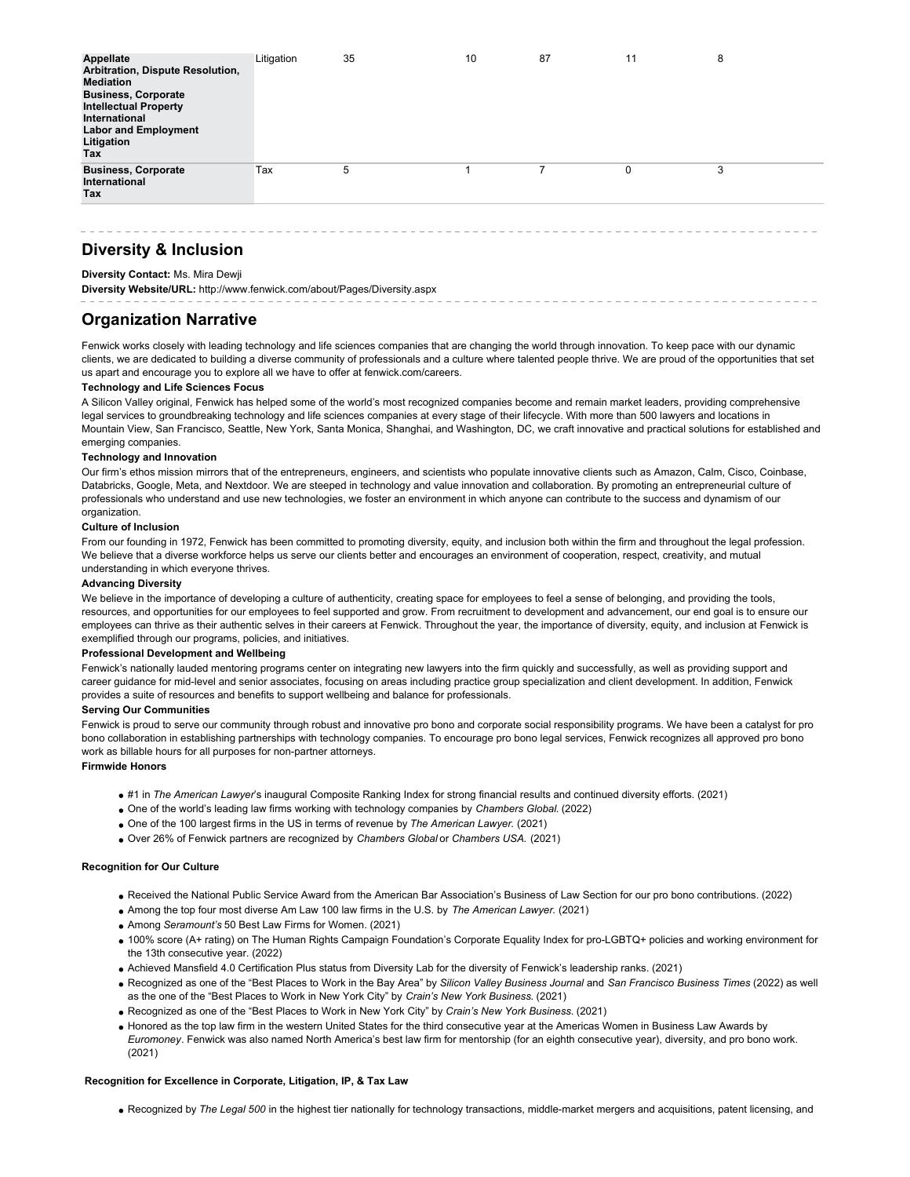| Appellate<br>Arbitration, Dispute Resolution,<br><b>Mediation</b><br><b>Business, Corporate</b><br><b>Intellectual Property</b><br>International<br><b>Labor and Employment</b><br>Litigation<br>Tax | Litigation | 35 | 10 | 87 | 11 | 8 |
|------------------------------------------------------------------------------------------------------------------------------------------------------------------------------------------------------|------------|----|----|----|----|---|
| <b>Business, Corporate</b><br>International<br>Tax                                                                                                                                                   | Tax        | 5  |    |    | 0  | 3 |

# **Diversity & Inclusion**

### **Diversity Contact:** Ms. Mira Dewji

**Diversity Website/URL:** http://www.fenwick.com/about/Pages/Diversity.aspx

### **Organization Narrative**

Fenwick works closely with leading technology and life sciences companies that are changing the world through innovation. To keep pace with our dynamic clients, we are dedicated to building a diverse community of professionals and a culture where talented people thrive. We are proud of the opportunities that set us apart and encourage you to explore all we have to offer at fenwick.com/careers.

### **Technology and Life Sciences Focus**

A Silicon Valley original, Fenwick has helped some of the world's most recognized companies become and remain market leaders, providing comprehensive legal services to groundbreaking technology and life sciences companies at every stage of their lifecycle. With more than 500 lawyers and locations in Mountain View, San Francisco, Seattle, New York, Santa Monica, Shanghai, and Washington, DC, we craft innovative and practical solutions for established and emerging companies.

### **Technology and Innovation**

Our firm's ethos mission mirrors that of the entrepreneurs, engineers, and scientists who populate innovative clients such as Amazon, Calm, Cisco, Coinbase, Databricks, Google, Meta, and Nextdoor. We are steeped in technology and value innovation and collaboration. By promoting an entrepreneurial culture of professionals who understand and use new technologies, we foster an environment in which anyone can contribute to the success and dynamism of our organization.

### **Culture of Inclusion**

From our founding in 1972, Fenwick has been committed to promoting diversity, equity, and inclusion both within the firm and throughout the legal profession. We believe that a diverse workforce helps us serve our clients better and encourages an environment of cooperation, respect, creativity, and mutual understanding in which everyone thrives.

### **Advancing Diversity**

We believe in the importance of developing a culture of authenticity, creating space for employees to feel a sense of belonging, and providing the tools, resources, and opportunities for our employees to feel supported and grow. From recruitment to development and advancement, our end goal is to ensure our employees can thrive as their authentic selves in their careers at Fenwick. Throughout the year, the importance of diversity, equity, and inclusion at Fenwick is exemplified through our programs, policies, and initiatives.

### **Professional Development and Wellbeing**

Fenwick's nationally lauded mentoring programs center on integrating new lawyers into the firm quickly and successfully, as well as providing support and career guidance for mid-level and senior associates, focusing on areas including practice group specialization and client development. In addition, Fenwick provides a suite of resources and benefits to support wellbeing and balance for professionals.

### **Serving Our Communities**

Fenwick is proud to serve our community through robust and innovative pro bono and corporate social responsibility programs. We have been a catalyst for pro bono collaboration in establishing partnerships with technology companies. To encourage pro bono legal services, Fenwick recognizes all approved pro bono work as billable hours for all purposes for non-partner attorneys.

### **Firmwide Honors**

- #1 in *The American Lawyer*'s inaugural Composite Ranking Index for strong financial results and continued diversity efforts. (2021)
- One of the world's leading law firms working with technology companies by *Chambers Global.* (2022)
- One of the 100 largest firms in the US in terms of revenue by *The American Lawyer.* (2021)
- Over 26% of Fenwick partners are recognized by *Chambers Global* or *Chambers USA.* (2021)

### **Recognition for Our Culture**

- Received the National Public Service Award from the American Bar Association's Business of Law Section for our pro bono contributions. (2022)
- Among the top four most diverse Am Law 100 law firms in the U.S. by *The American Lawyer.* (2021)
- Among *Seramount's* 50 Best Law Firms for Women. (2021)
- 100% score (A+ rating) on The Human Rights Campaign Foundation's Corporate Equality Index for pro-LGBTQ+ policies and working environment for the 13th consecutive year. (2022)
- Achieved Mansfield 4.0 Certification Plus status from Diversity Lab for the diversity of Fenwick's leadership ranks. (2021)
- Recognized as one of the "Best Places to Work in the Bay Area" by *Silicon Valley Business Journal* and *San Francisco Business Times* (2022) as well as the one of the "Best Places to Work in New York City" by *Crain's New York Business.* (2021)
- Recognized as one of the "Best Places to Work in New York City" by *Crain's New York Business.* (2021)
- Honored as the top law firm in the western United States for the third consecutive year at the Americas Women in Business Law Awards by *Euromoney*. Fenwick was also named North America's best law firm for mentorship (for an eighth consecutive year), diversity, and pro bono work. (2021)

### **Recognition for Excellence in Corporate, Litigation, IP, & Tax Law**

Recognized by *The Legal 500* in the highest tier nationally for technology transactions, middle-market mergers and acquisitions, patent licensing, and